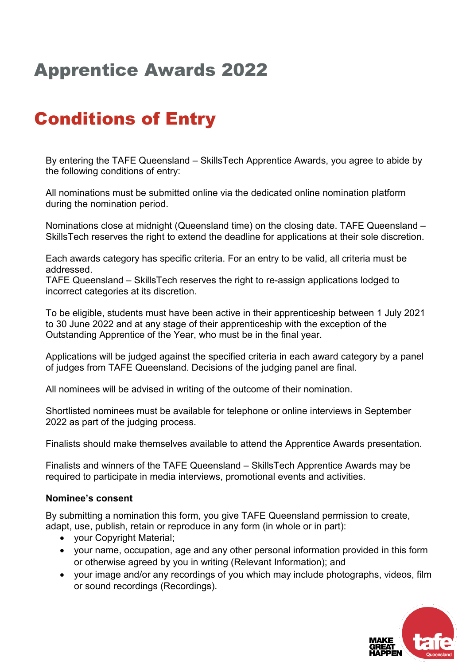## Apprentice Awards 2022

## Conditions of Entry

By entering the TAFE Queensland – SkillsTech Apprentice Awards, you agree to abide by the following conditions of entry:

All nominations must be submitted online via the dedicated online nomination platform during the nomination period.

Nominations close at midnight (Queensland time) on the closing date. TAFE Queensland – SkillsTech reserves the right to extend the deadline for applications at their sole discretion.

Each awards category has specific criteria. For an entry to be valid, all criteria must be addressed.

TAFE Queensland – SkillsTech reserves the right to re-assign applications lodged to incorrect categories at its discretion.

To be eligible, students must have been active in their apprenticeship between 1 July 2021 to 30 June 2022 and at any stage of their apprenticeship with the exception of the Outstanding Apprentice of the Year, who must be in the final year.

Applications will be judged against the specified criteria in each award category by a panel of judges from TAFE Queensland. Decisions of the judging panel are final.

All nominees will be advised in writing of the outcome of their nomination.

Shortlisted nominees must be available for telephone or online interviews in September 2022 as part of the judging process.

Finalists should make themselves available to attend the Apprentice Awards presentation.

Finalists and winners of the TAFE Queensland – SkillsTech Apprentice Awards may be required to participate in media interviews, promotional events and activities.

## **Nominee's consent**

By submitting a nomination this form, you give TAFE Queensland permission to create, adapt, use, publish, retain or reproduce in any form (in whole or in part):

- your Copyright Material;
- your name, occupation, age and any other personal information provided in this form or otherwise agreed by you in writing (Relevant Information); and
- your image and/or any recordings of you which may include photographs, videos, film or sound recordings (Recordings).